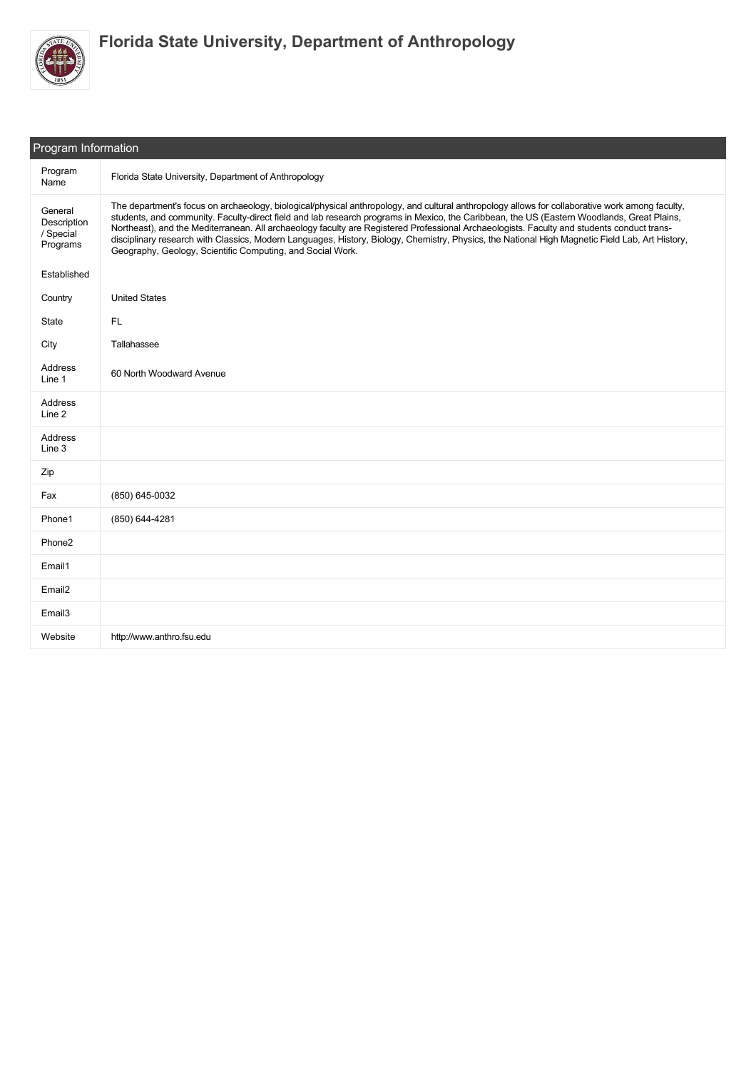

| Program Information                             |                                                                                                                                                                                                                                                                                                                                                                                                                                                                                                                                                                                                                                                              |  |  |  |
|-------------------------------------------------|--------------------------------------------------------------------------------------------------------------------------------------------------------------------------------------------------------------------------------------------------------------------------------------------------------------------------------------------------------------------------------------------------------------------------------------------------------------------------------------------------------------------------------------------------------------------------------------------------------------------------------------------------------------|--|--|--|
| Program<br>Name                                 | Florida State University, Department of Anthropology                                                                                                                                                                                                                                                                                                                                                                                                                                                                                                                                                                                                         |  |  |  |
| General<br>Description<br>/ Special<br>Programs | The department's focus on archaeology, biological/physical anthropology, and cultural anthropology allows for collaborative work among faculty,<br>students, and community. Faculty-direct field and lab research programs in Mexico, the Caribbean, the US (Eastern Woodlands, Great Plains,<br>Northeast), and the Mediterranean. All archaeology faculty are Registered Professional Archaeologists. Faculty and students conduct trans-<br>disciplinary research with Classics, Modern Languages, History, Biology, Chemistry, Physics, the National High Magnetic Field Lab, Art History,<br>Geography, Geology, Scientific Computing, and Social Work. |  |  |  |
| Established                                     |                                                                                                                                                                                                                                                                                                                                                                                                                                                                                                                                                                                                                                                              |  |  |  |
| Country                                         | <b>United States</b>                                                                                                                                                                                                                                                                                                                                                                                                                                                                                                                                                                                                                                         |  |  |  |
| State                                           | FL.                                                                                                                                                                                                                                                                                                                                                                                                                                                                                                                                                                                                                                                          |  |  |  |
| City                                            | Tallahassee                                                                                                                                                                                                                                                                                                                                                                                                                                                                                                                                                                                                                                                  |  |  |  |
| Address<br>Line 1                               | 60 North Woodward Avenue                                                                                                                                                                                                                                                                                                                                                                                                                                                                                                                                                                                                                                     |  |  |  |
| Address<br>Line 2                               |                                                                                                                                                                                                                                                                                                                                                                                                                                                                                                                                                                                                                                                              |  |  |  |
| Address<br>Line 3                               |                                                                                                                                                                                                                                                                                                                                                                                                                                                                                                                                                                                                                                                              |  |  |  |
| Zip                                             |                                                                                                                                                                                                                                                                                                                                                                                                                                                                                                                                                                                                                                                              |  |  |  |
| Fax                                             | (850) 645-0032                                                                                                                                                                                                                                                                                                                                                                                                                                                                                                                                                                                                                                               |  |  |  |
| Phone1                                          | (850) 644-4281                                                                                                                                                                                                                                                                                                                                                                                                                                                                                                                                                                                                                                               |  |  |  |
| Phone <sub>2</sub>                              |                                                                                                                                                                                                                                                                                                                                                                                                                                                                                                                                                                                                                                                              |  |  |  |
| Email1                                          |                                                                                                                                                                                                                                                                                                                                                                                                                                                                                                                                                                                                                                                              |  |  |  |
| Email <sub>2</sub>                              |                                                                                                                                                                                                                                                                                                                                                                                                                                                                                                                                                                                                                                                              |  |  |  |
| Email <sub>3</sub>                              |                                                                                                                                                                                                                                                                                                                                                                                                                                                                                                                                                                                                                                                              |  |  |  |
| Website                                         | http://www.anthro.fsu.edu                                                                                                                                                                                                                                                                                                                                                                                                                                                                                                                                                                                                                                    |  |  |  |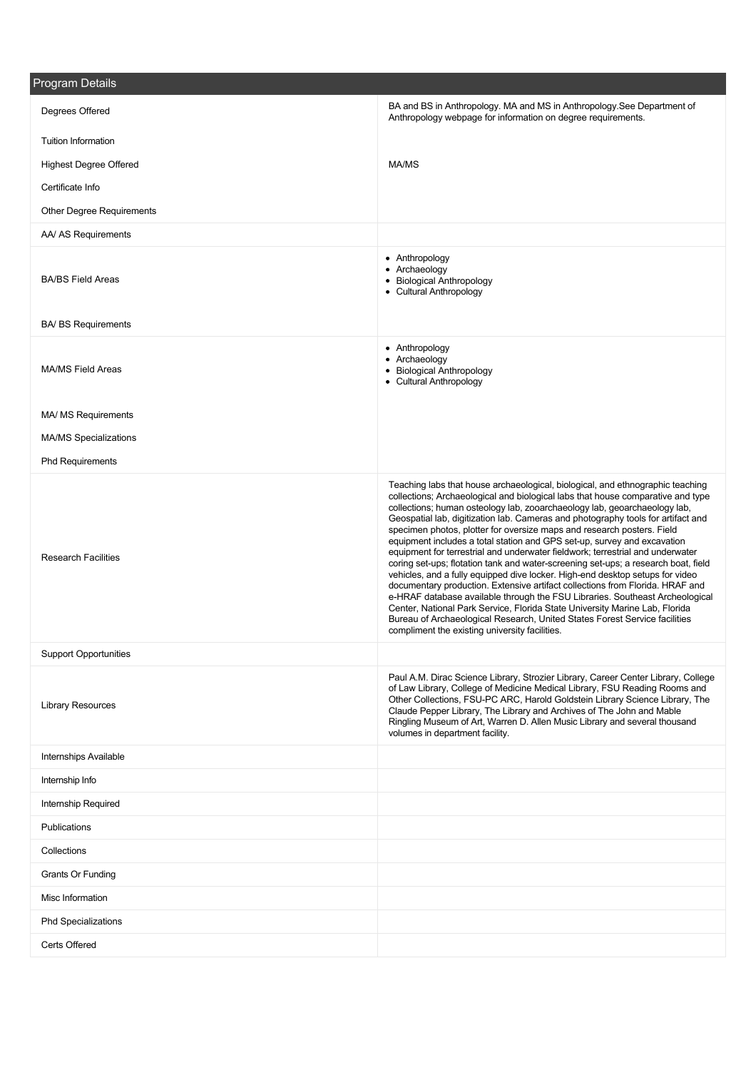| <b>Program Details</b>           |                                                                                                                                                                                                                                                                                                                                                                                                                                                                                                                                                                                                                                                                                                                                                                                                                                                                                                                                                                                                                                                                                                                                   |
|----------------------------------|-----------------------------------------------------------------------------------------------------------------------------------------------------------------------------------------------------------------------------------------------------------------------------------------------------------------------------------------------------------------------------------------------------------------------------------------------------------------------------------------------------------------------------------------------------------------------------------------------------------------------------------------------------------------------------------------------------------------------------------------------------------------------------------------------------------------------------------------------------------------------------------------------------------------------------------------------------------------------------------------------------------------------------------------------------------------------------------------------------------------------------------|
| Degrees Offered                  | BA and BS in Anthropology. MA and MS in Anthropology. See Department of<br>Anthropology webpage for information on degree requirements.                                                                                                                                                                                                                                                                                                                                                                                                                                                                                                                                                                                                                                                                                                                                                                                                                                                                                                                                                                                           |
| <b>Tuition Information</b>       |                                                                                                                                                                                                                                                                                                                                                                                                                                                                                                                                                                                                                                                                                                                                                                                                                                                                                                                                                                                                                                                                                                                                   |
| <b>Highest Degree Offered</b>    | MA/MS                                                                                                                                                                                                                                                                                                                                                                                                                                                                                                                                                                                                                                                                                                                                                                                                                                                                                                                                                                                                                                                                                                                             |
| Certificate Info                 |                                                                                                                                                                                                                                                                                                                                                                                                                                                                                                                                                                                                                                                                                                                                                                                                                                                                                                                                                                                                                                                                                                                                   |
| <b>Other Degree Requirements</b> |                                                                                                                                                                                                                                                                                                                                                                                                                                                                                                                                                                                                                                                                                                                                                                                                                                                                                                                                                                                                                                                                                                                                   |
| AA/ AS Requirements              |                                                                                                                                                                                                                                                                                                                                                                                                                                                                                                                                                                                                                                                                                                                                                                                                                                                                                                                                                                                                                                                                                                                                   |
| <b>BA/BS Field Areas</b>         | • Anthropology<br>• Archaeology<br>• Biological Anthropology<br>• Cultural Anthropology                                                                                                                                                                                                                                                                                                                                                                                                                                                                                                                                                                                                                                                                                                                                                                                                                                                                                                                                                                                                                                           |
| <b>BA/ BS Requirements</b>       |                                                                                                                                                                                                                                                                                                                                                                                                                                                                                                                                                                                                                                                                                                                                                                                                                                                                                                                                                                                                                                                                                                                                   |
| <b>MA/MS Field Areas</b>         | • Anthropology<br>• Archaeology<br>• Biological Anthropology<br>• Cultural Anthropology                                                                                                                                                                                                                                                                                                                                                                                                                                                                                                                                                                                                                                                                                                                                                                                                                                                                                                                                                                                                                                           |
| MA/ MS Requirements              |                                                                                                                                                                                                                                                                                                                                                                                                                                                                                                                                                                                                                                                                                                                                                                                                                                                                                                                                                                                                                                                                                                                                   |
| <b>MA/MS Specializations</b>     |                                                                                                                                                                                                                                                                                                                                                                                                                                                                                                                                                                                                                                                                                                                                                                                                                                                                                                                                                                                                                                                                                                                                   |
| <b>Phd Requirements</b>          |                                                                                                                                                                                                                                                                                                                                                                                                                                                                                                                                                                                                                                                                                                                                                                                                                                                                                                                                                                                                                                                                                                                                   |
| <b>Research Facilities</b>       | Teaching labs that house archaeological, biological, and ethnographic teaching<br>collections; Archaeological and biological labs that house comparative and type<br>collections; human osteology lab, zooarchaeology lab, geoarchaeology lab,<br>Geospatial lab, digitization lab. Cameras and photography tools for artifact and<br>specimen photos, plotter for oversize maps and research posters. Field<br>equipment includes a total station and GPS set-up, survey and excavation<br>equipment for terrestrial and underwater fieldwork; terrestrial and underwater<br>coring set-ups; flotation tank and water-screening set-ups; a research boat, field<br>vehicles, and a fully equipped dive locker. High-end desktop setups for video<br>documentary production. Extensive artifact collections from Florida. HRAF and<br>e-HRAF database available through the FSU Libraries. Southeast Archeological<br>Center, National Park Service, Florida State University Marine Lab, Florida<br>Bureau of Archaeological Research, United States Forest Service facilities<br>compliment the existing university facilities. |
| <b>Support Opportunities</b>     |                                                                                                                                                                                                                                                                                                                                                                                                                                                                                                                                                                                                                                                                                                                                                                                                                                                                                                                                                                                                                                                                                                                                   |
| <b>Library Resources</b>         | Paul A.M. Dirac Science Library, Strozier Library, Career Center Library, College<br>of Law Library, College of Medicine Medical Library, FSU Reading Rooms and<br>Other Collections, FSU-PC ARC, Harold Goldstein Library Science Library, The<br>Claude Pepper Library, The Library and Archives of The John and Mable<br>Ringling Museum of Art, Warren D. Allen Music Library and several thousand<br>volumes in department facility.                                                                                                                                                                                                                                                                                                                                                                                                                                                                                                                                                                                                                                                                                         |
| Internships Available            |                                                                                                                                                                                                                                                                                                                                                                                                                                                                                                                                                                                                                                                                                                                                                                                                                                                                                                                                                                                                                                                                                                                                   |
| Internship Info                  |                                                                                                                                                                                                                                                                                                                                                                                                                                                                                                                                                                                                                                                                                                                                                                                                                                                                                                                                                                                                                                                                                                                                   |
| <b>Internship Required</b>       |                                                                                                                                                                                                                                                                                                                                                                                                                                                                                                                                                                                                                                                                                                                                                                                                                                                                                                                                                                                                                                                                                                                                   |
| Publications                     |                                                                                                                                                                                                                                                                                                                                                                                                                                                                                                                                                                                                                                                                                                                                                                                                                                                                                                                                                                                                                                                                                                                                   |
| Collections                      |                                                                                                                                                                                                                                                                                                                                                                                                                                                                                                                                                                                                                                                                                                                                                                                                                                                                                                                                                                                                                                                                                                                                   |
| Grants Or Funding                |                                                                                                                                                                                                                                                                                                                                                                                                                                                                                                                                                                                                                                                                                                                                                                                                                                                                                                                                                                                                                                                                                                                                   |
| Misc Information                 |                                                                                                                                                                                                                                                                                                                                                                                                                                                                                                                                                                                                                                                                                                                                                                                                                                                                                                                                                                                                                                                                                                                                   |
| <b>Phd Specializations</b>       |                                                                                                                                                                                                                                                                                                                                                                                                                                                                                                                                                                                                                                                                                                                                                                                                                                                                                                                                                                                                                                                                                                                                   |
| Certs Offered                    |                                                                                                                                                                                                                                                                                                                                                                                                                                                                                                                                                                                                                                                                                                                                                                                                                                                                                                                                                                                                                                                                                                                                   |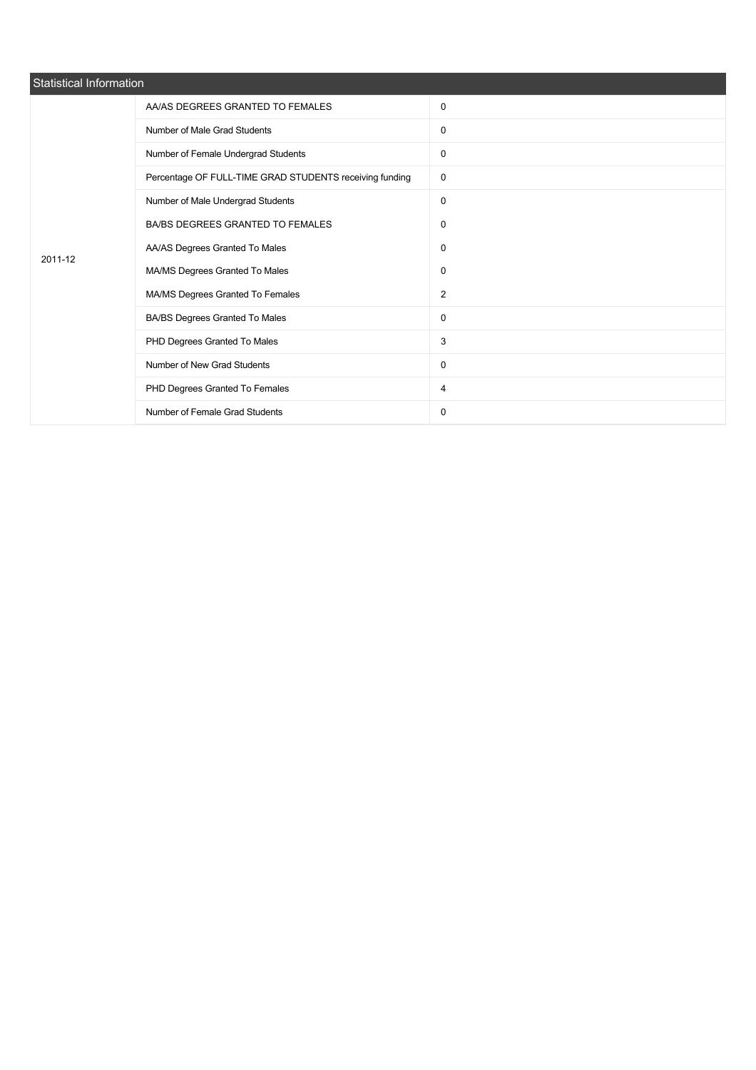| Statistical Information |                                                         |                |  |  |  |
|-------------------------|---------------------------------------------------------|----------------|--|--|--|
|                         | AA/AS DEGREES GRANTED TO FEMALES                        | 0              |  |  |  |
|                         | Number of Male Grad Students                            | $\mathbf 0$    |  |  |  |
|                         | Number of Female Undergrad Students                     | 0              |  |  |  |
|                         | Percentage OF FULL-TIME GRAD STUDENTS receiving funding | $\mathbf 0$    |  |  |  |
|                         | Number of Male Undergrad Students                       | 0              |  |  |  |
|                         | BA/BS DEGREES GRANTED TO FEMALES                        | $\mathbf 0$    |  |  |  |
| 2011-12                 | AA/AS Degrees Granted To Males                          | 0              |  |  |  |
|                         | MA/MS Degrees Granted To Males                          | $\mathbf 0$    |  |  |  |
|                         | MA/MS Degrees Granted To Females                        | $\overline{2}$ |  |  |  |
|                         | BA/BS Degrees Granted To Males                          | 0              |  |  |  |
|                         | PHD Degrees Granted To Males                            | 3              |  |  |  |
|                         | Number of New Grad Students                             | 0              |  |  |  |
|                         | PHD Degrees Granted To Females                          | 4              |  |  |  |
|                         | Number of Female Grad Students                          | 0              |  |  |  |